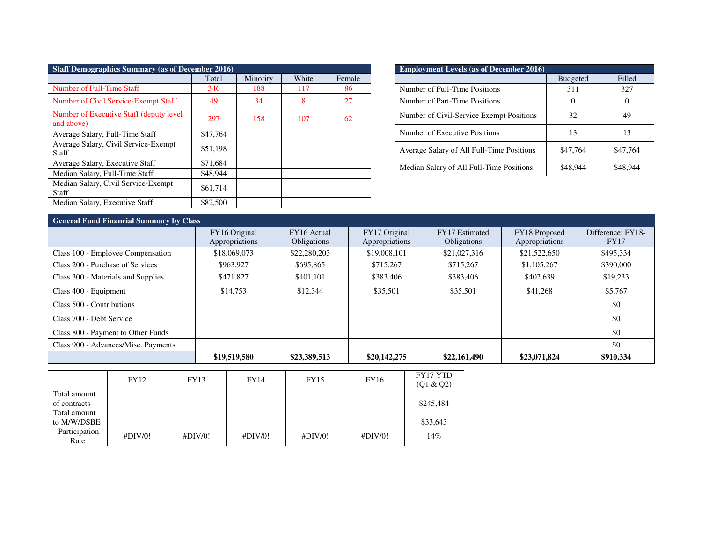| <b>Staff Demographics Summary (as of December 2016)</b> |          |          |       |        |  |  |  |
|---------------------------------------------------------|----------|----------|-------|--------|--|--|--|
|                                                         | Total    | Minority | White | Female |  |  |  |
| Number of Full-Time Staff                               | 346      | 188      | 117   | 86     |  |  |  |
| Number of Civil Service-Exempt Staff                    | 49       | 34       | 8     | 27     |  |  |  |
| Number of Executive Staff (deputy level)<br>and above)  | 297      | 158      | 107   | 62     |  |  |  |
| Average Salary, Full-Time Staff                         | \$47,764 |          |       |        |  |  |  |
| Average Salary, Civil Service-Exempt<br>Staff           | \$51,198 |          |       |        |  |  |  |
| Average Salary, Executive Staff                         | \$71,684 |          |       |        |  |  |  |
| Median Salary, Full-Time Staff                          | \$48,944 |          |       |        |  |  |  |
| Median Salary, Civil Service-Exempt<br><b>Staff</b>     | \$61,714 |          |       |        |  |  |  |
| Median Salary, Executive Staff                          | \$82,500 |          |       |        |  |  |  |

| <b>Employment Levels (as of December 2016)</b> |                 |          |  |  |  |  |
|------------------------------------------------|-----------------|----------|--|--|--|--|
|                                                | <b>Budgeted</b> | Filled   |  |  |  |  |
| Number of Full-Time Positions                  | 311             | 327      |  |  |  |  |
| Number of Part-Time Positions                  |                 |          |  |  |  |  |
| Number of Civil-Service Exempt Positions       | 32              | 49       |  |  |  |  |
| Number of Executive Positions                  | 13              | 13       |  |  |  |  |
| Average Salary of All Full-Time Positions      | \$47,764        | \$47,764 |  |  |  |  |
| Median Salary of All Full-Time Positions       | \$48.944        | \$48.944 |  |  |  |  |

## **General Fund Financial Summary by Class**

| Ocheral I and I maneral banning y by Class |                                 |                                   |                                 |                                      |                                 |                           |  |  |
|--------------------------------------------|---------------------------------|-----------------------------------|---------------------------------|--------------------------------------|---------------------------------|---------------------------|--|--|
|                                            | FY16 Original<br>Appropriations | FY16 Actual<br><b>Obligations</b> | FY17 Original<br>Appropriations | FY17 Estimated<br><b>Obligations</b> | FY18 Proposed<br>Appropriations | Difference: FY18-<br>FY17 |  |  |
| Class 100 - Employee Compensation          | \$18,069,073                    | \$22,280,203                      | \$19,008,101                    | \$21,027,316                         | \$21,522,650                    | \$495,334                 |  |  |
| Class 200 - Purchase of Services           | \$963,927                       | \$695,865                         | \$715,267                       | \$715,267                            | \$1,105,267                     | \$390,000                 |  |  |
| Class 300 - Materials and Supplies         | \$471,827                       | \$401.101                         | \$383,406                       | \$383,406                            | \$402,639                       | \$19,233                  |  |  |
| Class 400 - Equipment                      | \$14,753                        | \$12,344                          | \$35,501                        | \$35,501                             | \$41.268                        | \$5,767                   |  |  |
| Class 500 - Contributions                  |                                 |                                   |                                 |                                      |                                 | \$0                       |  |  |
| Class 700 - Debt Service                   |                                 |                                   |                                 |                                      |                                 | \$0                       |  |  |
| Class 800 - Payment to Other Funds         |                                 |                                   |                                 |                                      |                                 | \$0                       |  |  |
| Class 900 - Advances/Misc. Payments        |                                 |                                   |                                 |                                      |                                 | \$0                       |  |  |
|                                            | \$19,519,580                    | \$23,389,513                      | \$20,142,275                    | \$22,161,490                         | \$23,071,824                    | \$910,334                 |  |  |

|                       | FY12    | FY13    | FY14    | FY15    | FY16    | FY17 YTD<br>(Q1 & Q2) |
|-----------------------|---------|---------|---------|---------|---------|-----------------------|
| Total amount          |         |         |         |         |         |                       |
| of contracts          |         |         |         |         |         | \$245,484             |
| Total amount          |         |         |         |         |         |                       |
| to M/W/DSBE           |         |         |         |         |         | \$33,643              |
| Participation<br>Rate | #DIV/0! | #DIV/0! | #DIV/0! | #DIV/0! | #DIV/0! | 14%                   |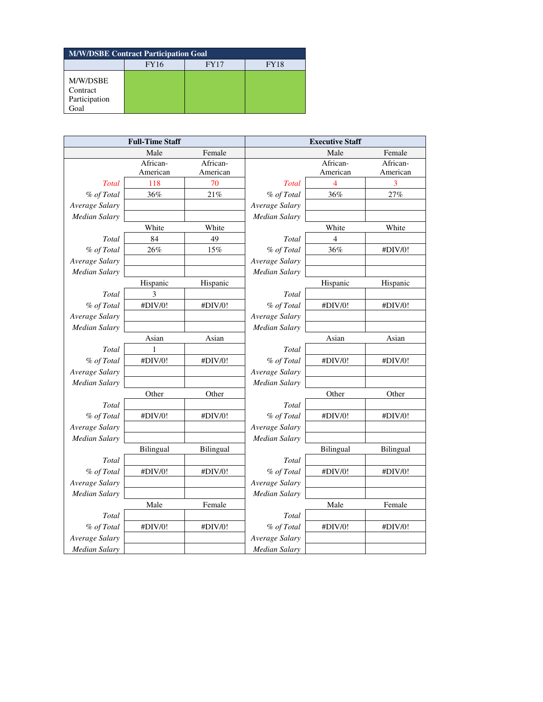| <b>M/W/DSBE Contract Participation Goal</b>   |             |             |             |  |  |  |
|-----------------------------------------------|-------------|-------------|-------------|--|--|--|
|                                               | <b>FY16</b> | <b>FY17</b> | <b>FY18</b> |  |  |  |
| M/W/DSBE<br>Contract<br>Participation<br>Goal |             |             |             |  |  |  |

| <b>Full-Time Staff</b> |           | <b>Executive Staff</b> |                      |                         |           |
|------------------------|-----------|------------------------|----------------------|-------------------------|-----------|
|                        | Male      | Female                 |                      | Male                    | Female    |
|                        | African-  | African-               |                      | African-                | African-  |
|                        | American  | American               |                      | American                | American  |
| <b>Total</b>           | 118       | 70                     | <b>Total</b>         | $\overline{\mathbf{4}}$ | 3         |
| % of Total             | 36%       | 21%                    | % of Total           | 36%                     | 27%       |
| Average Salary         |           |                        | Average Salary       |                         |           |
| <b>Median Salary</b>   |           |                        | Median Salary        |                         |           |
|                        | White     | White                  |                      | White                   | White     |
| Total                  | 84        | 49                     | Total                | $\overline{4}$          |           |
| % of Total             | 26%       | 15%                    | % of Total           | 36%                     | #DIV/0!   |
| Average Salary         |           |                        | Average Salary       |                         |           |
| <b>Median Salary</b>   |           |                        | Median Salary        |                         |           |
|                        | Hispanic  | Hispanic               |                      | Hispanic                | Hispanic  |
| Total                  | 3         |                        | Total                |                         |           |
| % of Total             | #DIV/0!   | #DIV/0!                | % of Total           | #DIV/0!                 | #DIV/0!   |
| Average Salary         |           |                        | Average Salary       |                         |           |
| <b>Median Salary</b>   |           |                        | Median Salary        |                         |           |
|                        | Asian     | Asian                  |                      | Asian                   | Asian     |
| Total                  | 1         |                        | Total                |                         |           |
| % of Total             | #DIV/0!   | #DIV/0!                | % of Total           | #DIV/0!                 | #DIV/0!   |
| Average Salary         |           |                        | Average Salary       |                         |           |
| <b>Median Salary</b>   |           |                        | <b>Median Salary</b> |                         |           |
|                        | Other     | Other                  |                      | Other                   | Other     |
| Total                  |           |                        | Total                |                         |           |
| % of Total             | #DIV/0!   | #DIV/0!                | % of Total           | #DIV/0!                 | #DIV/0!   |
| Average Salary         |           |                        | Average Salary       |                         |           |
| <b>Median Salary</b>   |           |                        | Median Salary        |                         |           |
|                        | Bilingual | Bilingual              |                      | Bilingual               | Bilingual |
| Total                  |           |                        | Total                |                         |           |
| % of Total             | #DIV/0!   | #DIV/0!                | % of Total           | #DIV/0!                 | #DIV/0!   |
| Average Salary         |           |                        | Average Salary       |                         |           |
| <b>Median Salary</b>   |           |                        | <b>Median Salary</b> |                         |           |
|                        | Male      | Female                 |                      | Male                    | Female    |
| Total                  |           |                        | Total                |                         |           |
| % of Total             | #DIV/0!   | #DIV/0!                | % of Total           | #DIV/0!                 | #DIV/0!   |
| Average Salary         |           |                        | Average Salary       |                         |           |
| <b>Median Salary</b>   |           |                        | <b>Median Salary</b> |                         |           |